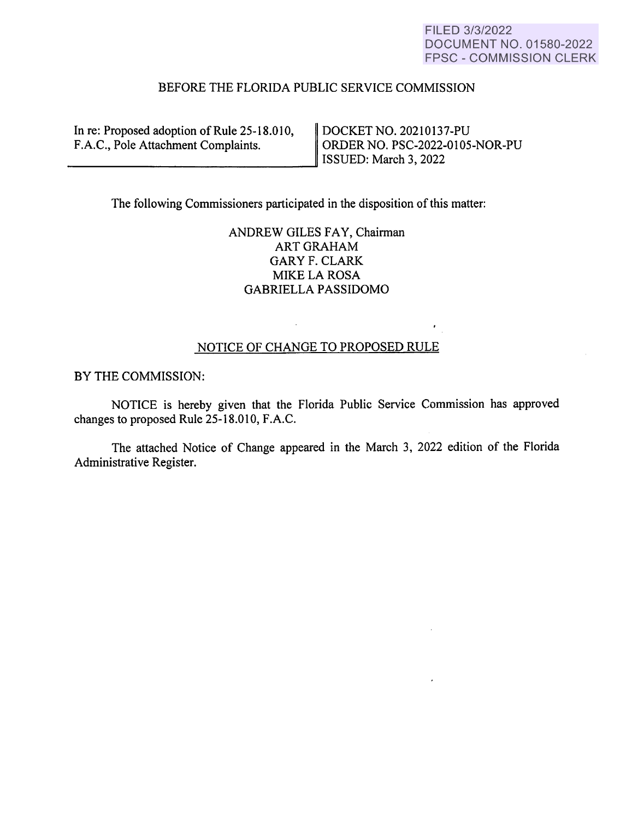## FILED 3/3/2022 DOCUMENT NO. 01580-2022 FPSC - COMMISSION CLERK

## BEFORE THE FLORIDA PUBLIC SERVICE COMMISSION

| In re: Proposed adoption of Rule 25-18.010,<br>F.A.C., Pole Attachment Complaints. | DOCKET NO. 20210137-PU<br>ORDER NO. PSC-2022-0105-NOR-PU<br>ISSUED: March 3, 2022 |
|------------------------------------------------------------------------------------|-----------------------------------------------------------------------------------|
|                                                                                    |                                                                                   |

The following Commissioners participated in the disposition of this matter:

 $\mathcal{L}^{\mathcal{L}}$ 

# ANDREW GILES FAY, Chairman ART GRAHAM GARY F. CLARK **MIKE LA ROSA** GABRIELLA PASSIDOMO

### NOTICE OF CHANGE TO PROPOSED RULE

 $\epsilon$ 

BY THE COMMISSION:

NOTICE is hereby given that the Florida Public Service Commission has approved changes to proposed Rule 25-18.010, F.A.C.

The attached Notice of Change appeared in the March 3, 2022 edition of the Florida Administrative Register.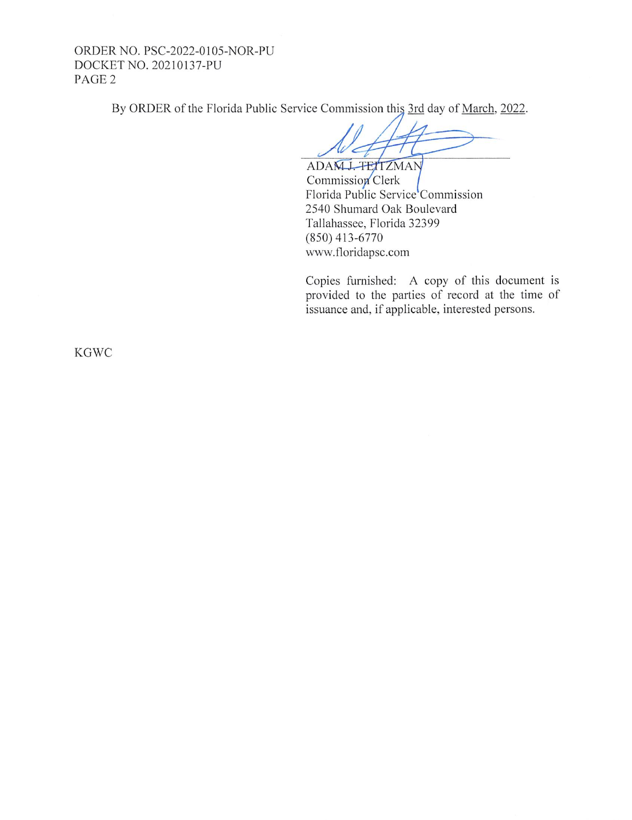ORDER NO. PSC-2022-0105-NOR-PU DOCKET NO. 202 10137-PU PAGE 2

By ORDER of the Florida Public Service Commission this 3rd day of March, 2022.

ADAM J. TETTZMAN

Commission Clerk Florida Public Service Commission 2540 Shumard Oak Boulevard Tallahassee, Florida 32399 (850) 413-6770 www.floridapsc.com

Copies furnished: A copy of this document is provided to the parties of record at the time of issuance and, if applicable, interested persons.

KGWC